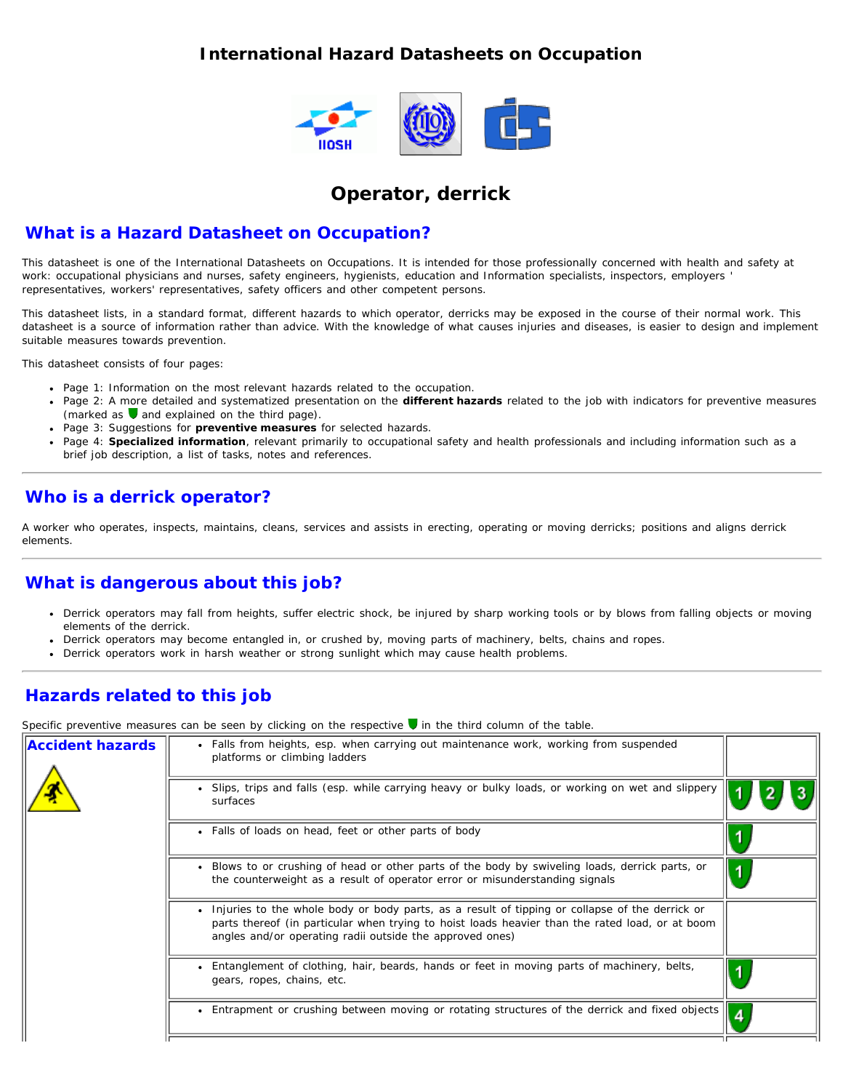#### **International Hazard Datasheets on Occupation**



## **Operator, derrick**

#### **What is a Hazard Datasheet on Occupation?**

This datasheet is one of the International Datasheets on Occupations. It is intended for those professionally concerned with health and safety at work: occupational physicians and nurses, safety engineers, hygienists, education and Information specialists, inspectors, employers ' representatives, workers' representatives, safety officers and other competent persons.

This datasheet lists, in a standard format, different hazards to which operator, derricks may be exposed in the course of their normal work. This datasheet is a source of information rather than advice. With the knowledge of what causes injuries and diseases, is easier to design and implement suitable measures towards prevention.

This datasheet consists of four pages:

- Page 1: Information on the most relevant hazards related to the occupation.
- Page 2: A more detailed and systematized presentation on the **different hazards** related to the job with indicators for preventive measures (marked as  $\bigtriangledown$  and explained on the third page).
- Page 3: Suggestions for **preventive measures** for selected hazards.
- Page 4: **Specialized information**, relevant primarily to occupational safety and health professionals and including information such as a brief job description, a list of tasks, notes and references.

### **Who is a derrick operator?**

A worker who operates, inspects, maintains, cleans, services and assists in erecting, operating or moving derricks; positions and aligns derrick elements.

## **What is dangerous about this job?**

- Derrick operators may fall from heights, suffer electric shock, be injured by sharp working tools or by blows from falling objects or moving elements of the derrick.
- Derrick operators may become entangled in, or crushed by, moving parts of machinery, belts, chains and ropes.
- Derrick operators work in harsh weather or strong sunlight which may cause health problems.  $\bullet$

## **Hazards related to this job**

Specific preventive measures can be seen by clicking on the respective **v** in the third column of the table.

| <b>Accident hazards</b> | Falls from heights, esp. when carrying out maintenance work, working from suspended<br>platforms or climbing ladders                                                                                                                                          |  |
|-------------------------|---------------------------------------------------------------------------------------------------------------------------------------------------------------------------------------------------------------------------------------------------------------|--|
|                         | Slips, trips and falls (esp. while carrying heavy or bulky loads, or working on wet and slippery<br>surfaces                                                                                                                                                  |  |
|                         | • Falls of loads on head, feet or other parts of body                                                                                                                                                                                                         |  |
|                         | Blows to or crushing of head or other parts of the body by swiveling loads, derrick parts, or<br>the counterweight as a result of operator error or misunderstanding signals                                                                                  |  |
|                         | Injuries to the whole body or body parts, as a result of tipping or collapse of the derrick or<br>parts thereof (in particular when trying to hoist loads heavier than the rated load, or at boom<br>angles and/or operating radii outside the approved ones) |  |
|                         | Entanglement of clothing, hair, beards, hands or feet in moving parts of machinery, belts,<br>gears, ropes, chains, etc.                                                                                                                                      |  |
|                         | Entrapment or crushing between moving or rotating structures of the derrick and fixed objects                                                                                                                                                                 |  |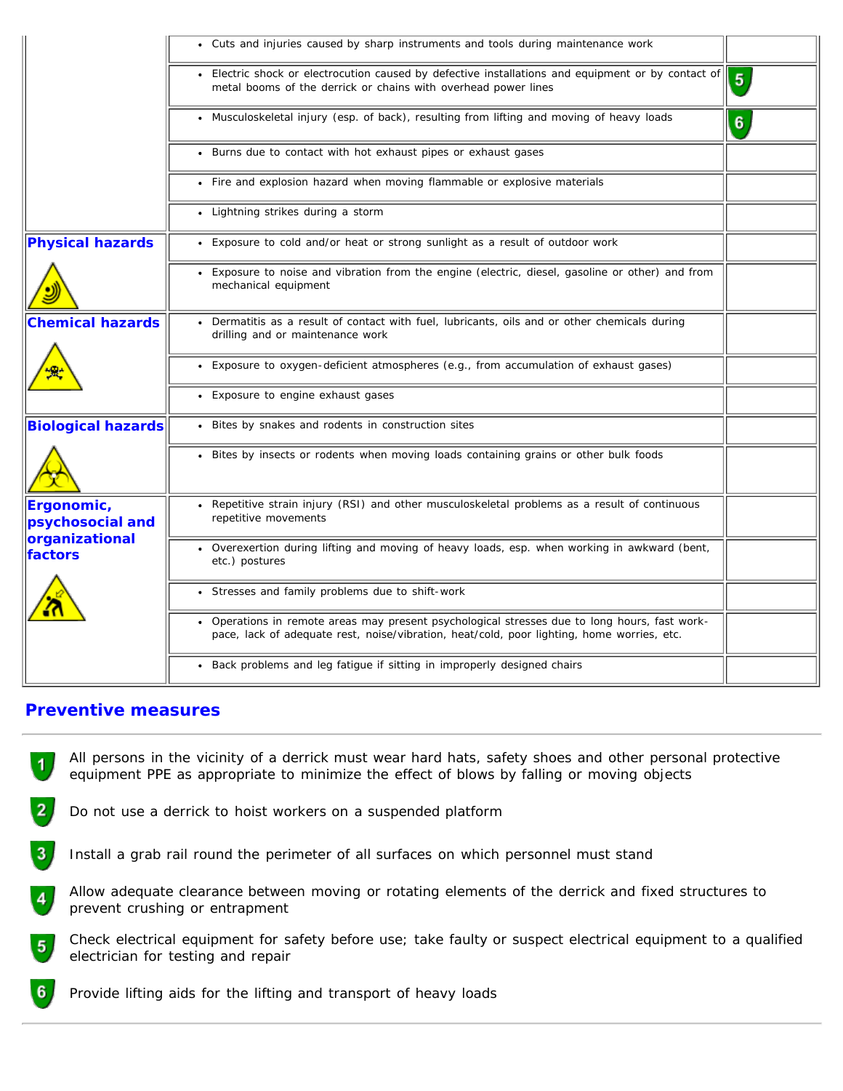|                                                             | • Cuts and injuries caused by sharp instruments and tools during maintenance work                                                                                                           |                |
|-------------------------------------------------------------|---------------------------------------------------------------------------------------------------------------------------------------------------------------------------------------------|----------------|
|                                                             | • Electric shock or electrocution caused by defective installations and equipment or by contact of<br>metal booms of the derrick or chains with overhead power lines                        | $\overline{5}$ |
|                                                             | • Musculoskeletal injury (esp. of back), resulting from lifting and moving of heavy loads                                                                                                   | 6              |
|                                                             | • Burns due to contact with hot exhaust pipes or exhaust gases                                                                                                                              |                |
|                                                             | • Fire and explosion hazard when moving flammable or explosive materials                                                                                                                    |                |
|                                                             | • Lightning strikes during a storm                                                                                                                                                          |                |
| <b>Physical hazards</b>                                     | • Exposure to cold and/or heat or strong sunlight as a result of outdoor work                                                                                                               |                |
|                                                             | • Exposure to noise and vibration from the engine (electric, diesel, gasoline or other) and from<br>mechanical equipment                                                                    |                |
| <b>Chemical hazards</b>                                     | Dermatitis as a result of contact with fuel, lubricants, oils and or other chemicals during<br>drilling and or maintenance work                                                             |                |
|                                                             | • Exposure to oxygen-deficient atmospheres (e.g., from accumulation of exhaust gases)                                                                                                       |                |
|                                                             | • Exposure to engine exhaust gases                                                                                                                                                          |                |
| <b>Biological hazards</b>                                   | • Bites by snakes and rodents in construction sites                                                                                                                                         |                |
|                                                             | • Bites by insects or rodents when moving loads containing grains or other bulk foods                                                                                                       |                |
| Ergonomic,<br>psychosocial and<br>organizational<br>factors | • Repetitive strain injury (RSI) and other musculoskeletal problems as a result of continuous<br>repetitive movements                                                                       |                |
|                                                             | . Overexertion during lifting and moving of heavy loads, esp. when working in awkward (bent,<br>etc.) postures                                                                              |                |
|                                                             | • Stresses and family problems due to shift-work                                                                                                                                            |                |
|                                                             | • Operations in remote areas may present psychological stresses due to long hours, fast work-<br>pace, lack of adequate rest, noise/vibration, heat/cold, poor lighting, home worries, etc. |                |
|                                                             | • Back problems and leg fatigue if sitting in improperly designed chairs                                                                                                                    |                |

#### **Preventive measures**

All persons in the vicinity of a derrick must wear hard hats, safety shoes and other personal protective 1. equipment PPE as appropriate to minimize the effect of blows by falling or moving objects

- $2<sub>1</sub>$ Do not use a derrick to hoist workers on a suspended platform
- $3<sub>1</sub>$ Install a grab rail round the perimeter of all surfaces on which personnel must stand
- Allow adequate clearance between moving or rotating elements of the derrick and fixed structures to  $\overline{4}$ prevent crushing or entrapment
- Check electrical equipment for safety before use; take faulty or suspect electrical equipment to a qualified  $5<sub>1</sub>$ electrician for testing and repair
- 6 Provide lifting aids for the lifting and transport of heavy loads